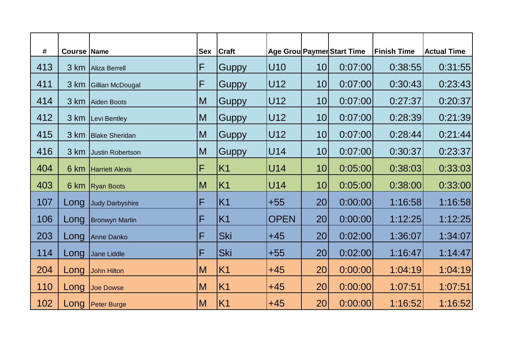| #   | <b>Course Name</b> |                        |   | <b>Sex Craft</b> |             |                 | Age Grou Paymer Start Time | <b>Finish Time</b> | <b>Actual Time</b> |
|-----|--------------------|------------------------|---|------------------|-------------|-----------------|----------------------------|--------------------|--------------------|
| 413 |                    | 3 km   Aliza Berrell   | F | Guppy            | U10         | 10              | 0:07:00                    | 0:38:55            | 0:31:55            |
| 411 |                    | 3 km Gillian McDougal  | F | Guppy            | U12         | 10              | 0:07:00                    | 0:30:43            | 0:23:43            |
| 414 |                    | 3 km Aiden Boots       | M | Guppy            | U12         | 10              | 0:07:00                    | 0:27:37            | 0:20:37            |
| 412 |                    | 3 km Levi Bentley      | M | Guppy            | U12         | 10              | 0:07:00                    | 0:28:39            | 0:21:39            |
| 415 |                    | 3 km   Blake Sheridan  | M | Guppy            | U12         | 10              | 0:07:00                    | 0:28:44            | 0:21:44            |
| 416 |                    | 3 km Justin Robertson  | M | Guppy            | U14         | 10 <sup>1</sup> | 0:07:00                    | 0:30:37            | 0:23:37            |
| 404 |                    | 6 km Harriett Alexis   | F | K <sub>1</sub>   | U14         | 10              | 0:05:00                    | 0:38:03            | 0:33:03            |
| 403 |                    | 6 km Ryan Boots        | M | K <sub>1</sub>   | <b>U14</b>  | 10              | 0:05:00                    | 0:38:00            | 0:33:00            |
| 107 | Long               | <b>Judy Darbyshire</b> | F | K1               | $+55$       | 20 <sub>l</sub> | 0:00:00                    | 1:16:58            | 1:16:58            |
| 106 | Long               | <b>Bronwyn Martin</b>  | F | K1               | <b>OPEN</b> | 20 <sub>l</sub> | 0:00:00                    | 1:12:25            | 1:12:25            |
| 203 | Long               | Anne Danko             | F | Ski              | $+45$       | 20 <sub>l</sub> | 0:02:00                    | 1:36:07            | 1:34:07            |
| 114 | Long               | Jane Liddle            | F | <b>Ski</b>       | $+55$       | 20              | 0:02:00                    | 1:16:47            | 1:14:47            |
| 204 | Long               | John Hilton            | M | K1               | $+45$       | 20              | 0:00:00                    | 1:04:19            | 1:04:19            |
| 110 | Long               | Joe Dowse              | M | K <sub>1</sub>   | $+45$       | 20              | 0:00:00                    | 1:07:51            | 1:07:51            |
| 102 |                    | Long Peter Burge       | M | K1               | $+45$       | 20              | 0:00:00                    | 1:16:52            | 1:16:52            |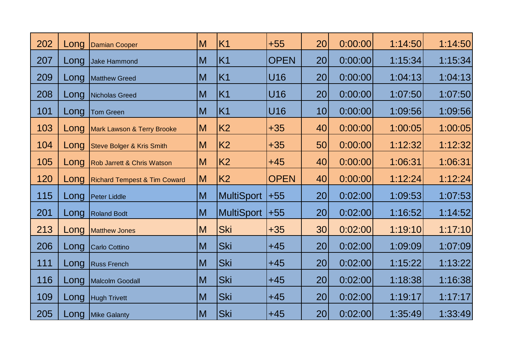| 202 | Long | Damian Cooper                           | M            | K <sub>1</sub> | $+55$       | 20              | 0:00:00 | 1:14:50 | 1:14:50 |
|-----|------|-----------------------------------------|--------------|----------------|-------------|-----------------|---------|---------|---------|
| 207 | Long | Jake Hammond                            | M            | K1             | <b>OPEN</b> | 20              | 0:00:00 | 1:15:34 | 1:15:34 |
| 209 | Long | Matthew Greed                           | M            | K1             | U16         | 20              | 0:00:00 | 1:04:13 | 1:04:13 |
| 208 | Long | Nicholas Greed                          | M            | K1             | U16         | 20              | 0:00:00 | 1:07:50 | 1:07:50 |
| 101 | Long | Tom Green                               | M            | K1             | U16         | 10              | 0:00:00 | 1:09:56 | 1:09:56 |
| 103 | Long | Mark Lawson & Terry Brooke              | M            | K <sub>2</sub> | $+35$       | 40              | 0:00:00 | 1:00:05 | 1:00:05 |
| 104 | Long | Steve Bolger & Kris Smith               | M            | <b>K2</b>      | $+35$       | 50              | 0:00:00 | 1:12:32 | 1:12:32 |
| 105 | Long | Rob Jarrett & Chris Watson              | M            | K <sub>2</sub> | $+45$       | 40              | 0:00:00 | 1:06:31 | 1:06:31 |
| 120 | Long | <b>Richard Tempest &amp; Tim Coward</b> | $\mathsf{M}$ | K <sub>2</sub> | <b>OPEN</b> | 40              | 0:00:00 | 1:12:24 | 1:12:24 |
| 115 | Long | <b>Peter Liddle</b>                     | M            | MultiSport     | $ +55 $     | 20              | 0:02:00 | 1:09:53 | 1:07:53 |
| 201 | Long | <b>Roland Bodt</b>                      | M            | MultiSport     | $ +55$      | 20 <sub>l</sub> | 0:02:00 | 1:16:52 | 1:14:52 |
| 213 | Long | Matthew Jones                           | M            | Ski            | $+35$       | 30              | 0:02:00 | 1:19:10 | 1:17:10 |
| 206 | Long | Carlo Cottino                           | M            | <b>Ski</b>     | $+45$       | 20              | 0:02:00 | 1:09:09 | 1:07:09 |
| 111 | Long | <b>Russ French</b>                      | M            | Ski            | $+45$       | 20              | 0:02:00 | 1:15:22 | 1:13:22 |
| 116 | Long | Malcolm Goodall                         | M            | <b>Ski</b>     | $+45$       | 20 <sup>1</sup> | 0:02:00 | 1:18:38 | 1:16:38 |
| 109 | Long | <b>Hugh Trivett</b>                     | M            | <b>Ski</b>     | $+45$       | 20              | 0:02:00 | 1:19:17 | 1:17:17 |
| 205 |      | Long Mike Galanty                       | $\mathsf{M}$ | Ski            | $+45$       | 20              | 0:02:00 | 1:35:49 | 1:33:49 |